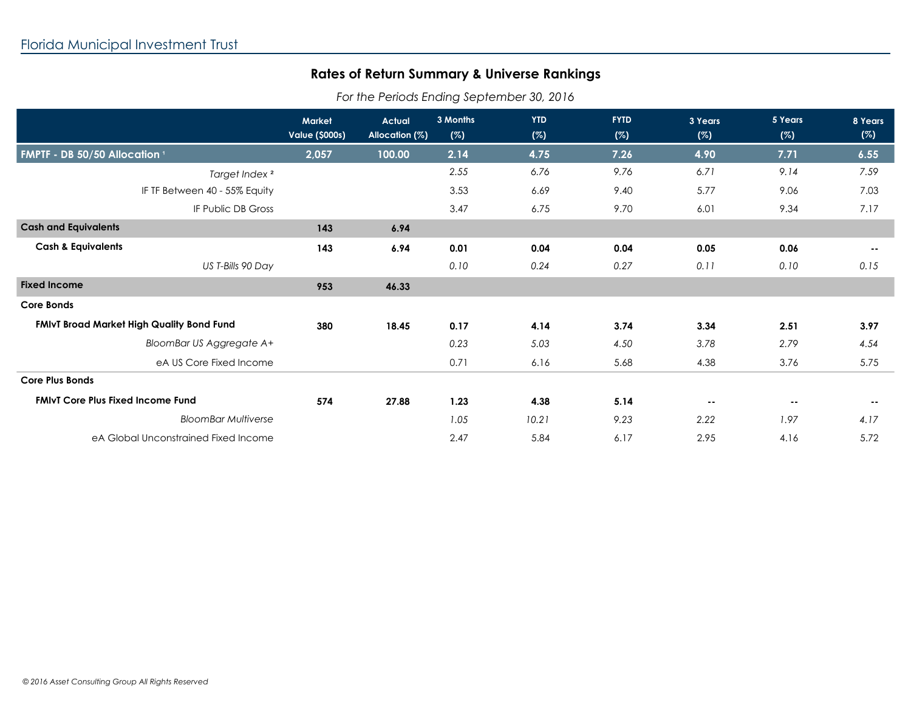## **Rates of Return Summary & Universe Rankings**

*For the Periods Ending September 30, 2016*

|                                                  | <b>Market</b><br><b>Value (\$000s)</b> | <b>Actual</b><br>Allocation (%) | 3 Months<br>(%) | <b>YTD</b><br>(%) | <b>FYTD</b><br>(%) | 3 Years<br>(%) | 5 Years<br>(%) | 8 Years<br>(%) |
|--------------------------------------------------|----------------------------------------|---------------------------------|-----------------|-------------------|--------------------|----------------|----------------|----------------|
| FMPTF - DB 50/50 Allocation 1                    | 2,057                                  | 100.00                          | 2.14            | 4.75              | 7.26               | 4.90           | 7.71           | 6.55           |
| Target Index <sup>2</sup>                        |                                        |                                 | 2.55            | 6.76              | 9.76               | 6.71           | 9.14           | 7.59           |
| IF TF Between 40 - 55% Equity                    |                                        |                                 | 3.53            | 6.69              | 9.40               | 5.77           | 9.06           | 7.03           |
| IF Public DB Gross                               |                                        |                                 | 3.47            | 6.75              | 9.70               | 6.01           | 9.34           | 7.17           |
| <b>Cash and Equivalents</b>                      | 143                                    | 6.94                            |                 |                   |                    |                |                |                |
| <b>Cash &amp; Equivalents</b>                    | 143                                    | 6.94                            | 0.01            | 0.04              | 0.04               | 0.05           | 0.06           | $\sim$ $-$     |
| US T-Bills 90 Day                                |                                        |                                 | 0.10            | 0.24              | 0.27               | 0.11           | 0.10           | 0.15           |
| <b>Fixed Income</b>                              | 953                                    | 46.33                           |                 |                   |                    |                |                |                |
| <b>Core Bonds</b>                                |                                        |                                 |                 |                   |                    |                |                |                |
| <b>FMIvT Broad Market High Quality Bond Fund</b> | 380                                    | 18.45                           | 0.17            | 4.14              | 3.74               | 3.34           | 2.51           | 3.97           |
| <b>BloomBar US Aggregate A+</b>                  |                                        |                                 | 0.23            | 5.03              | 4.50               | 3.78           | 2.79           | 4.54           |
| eA US Core Fixed Income                          |                                        |                                 | 0.71            | 6.16              | 5.68               | 4.38           | 3.76           | 5.75           |
| <b>Core Plus Bonds</b>                           |                                        |                                 |                 |                   |                    |                |                |                |
| <b>FMIVT Core Plus Fixed Income Fund</b>         | 574                                    | 27.88                           | 1.23            | 4.38              | 5.14               | $\sim$ $-$     | $\sim$ $-$     | $\sim$ $-$     |
| <b>BloomBar Multiverse</b>                       |                                        |                                 | 1.05            | 10.21             | 9.23               | 2.22           | 1.97           | 4.17           |
| eA Global Unconstrained Fixed Income             |                                        |                                 | 2.47            | 5.84              | 6.17               | 2.95           | 4.16           | 5.72           |